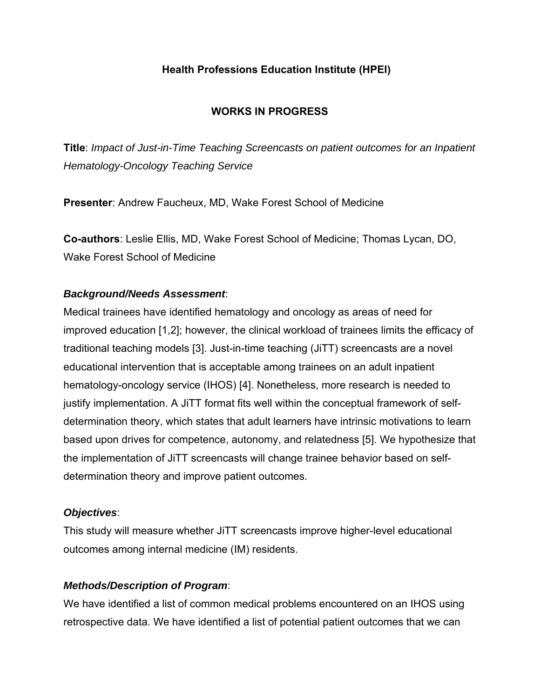## **Health Professions Education Institute (HPEI)**

# **WORKS IN PROGRESS**

**Title**: *Impact of Just-in-Time Teaching Screencasts on patient outcomes for an Inpatient Hematology-Oncology Teaching Service*

**Presenter**: Andrew Faucheux, MD, Wake Forest School of Medicine

**Co-authors**: Leslie Ellis, MD, Wake Forest School of Medicine; Thomas Lycan, DO, Wake Forest School of Medicine

## *Background/Needs Assessment*:

Medical trainees have identified hematology and oncology as areas of need for improved education [1,2]; however, the clinical workload of trainees limits the efficacy of traditional teaching models [3]. Just-in-time teaching (JiTT) screencasts are a novel educational intervention that is acceptable among trainees on an adult inpatient hematology-oncology service (IHOS) [4]. Nonetheless, more research is needed to justify implementation. A JiTT format fits well within the conceptual framework of selfdetermination theory, which states that adult learners have intrinsic motivations to learn based upon drives for competence, autonomy, and relatedness [5]. We hypothesize that the implementation of JiTT screencasts will change trainee behavior based on selfdetermination theory and improve patient outcomes.

## *Objectives*:

This study will measure whether JiTT screencasts improve higher-level educational outcomes among internal medicine (IM) residents.

## *Methods/Description of Program*:

We have identified a list of common medical problems encountered on an IHOS using retrospective data. We have identified a list of potential patient outcomes that we can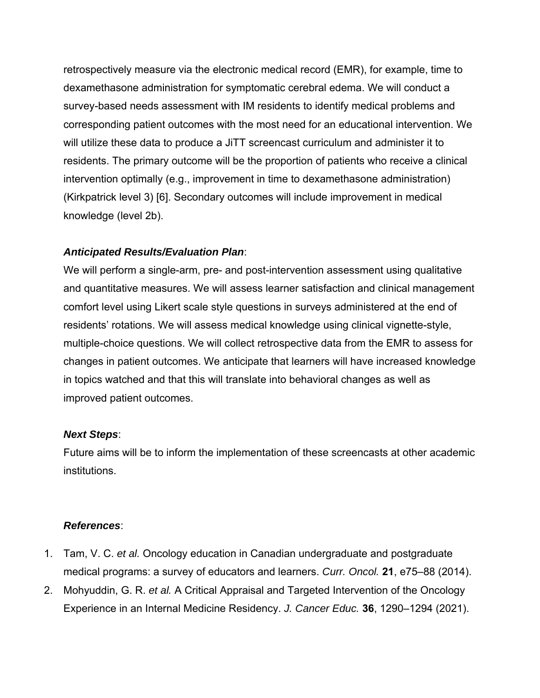retrospectively measure via the electronic medical record (EMR), for example, time to dexamethasone administration for symptomatic cerebral edema. We will conduct a survey-based needs assessment with IM residents to identify medical problems and corresponding patient outcomes with the most need for an educational intervention. We will utilize these data to produce a JiTT screencast curriculum and administer it to residents. The primary outcome will be the proportion of patients who receive a clinical intervention optimally (e.g., improvement in time to dexamethasone administration) (Kirkpatrick level 3) [6]. Secondary outcomes will include improvement in medical knowledge (level 2b).

#### *Anticipated Results/Evaluation Plan*:

We will perform a single-arm, pre- and post-intervention assessment using qualitative and quantitative measures. We will assess learner satisfaction and clinical management comfort level using Likert scale style questions in surveys administered at the end of residents' rotations. We will assess medical knowledge using clinical vignette-style, multiple-choice questions. We will collect retrospective data from the EMR to assess for changes in patient outcomes. We anticipate that learners will have increased knowledge in topics watched and that this will translate into behavioral changes as well as improved patient outcomes.

#### *Next Steps*:

Future aims will be to inform the implementation of these screencasts at other academic institutions.

#### *References*:

- 1. Tam, V. C. *et al.* Oncology education in Canadian undergraduate and postgraduate medical programs: a survey of educators and learners. *Curr. Oncol.* **21**, e75–88 (2014).
- 2. Mohyuddin, G. R. *et al.* A Critical Appraisal and Targeted Intervention of the Oncology Experience in an Internal Medicine Residency. *J. Cancer Educ.* **36**, 1290–1294 (2021).